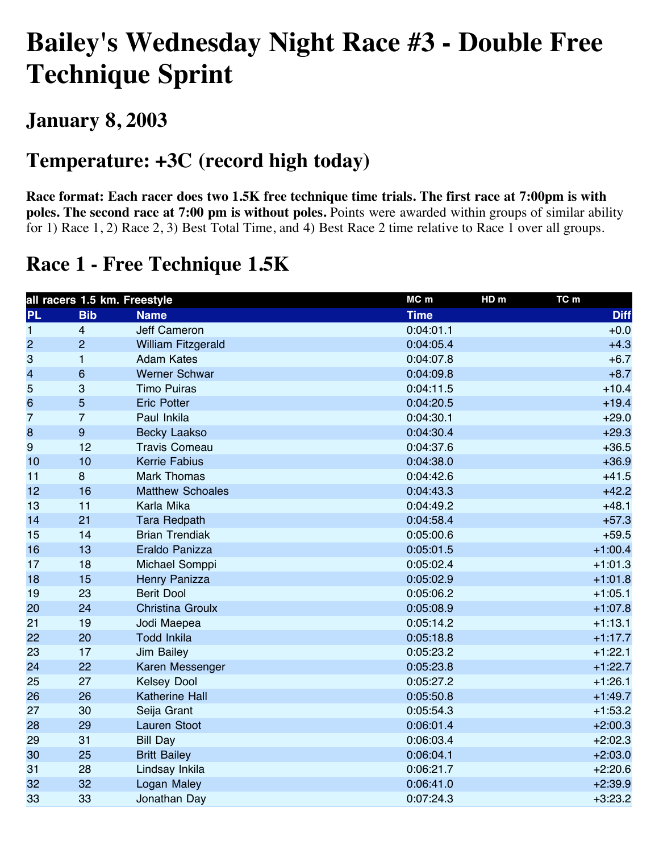# **Bailey's Wednesday Night Race #3 - Double Free Technique Sprint**

### **January 8, 2003**

### **Temperature: +3C (record high today)**

**Race format: Each racer does two 1.5K free technique time trials. The first race at 7:00pm is with poles. The second race at 7:00 pm is without poles.** Points were awarded within groups of similar ability for 1) Race 1, 2) Race 2, 3) Best Total Time, and 4) Best Race 2 time relative to Race 1 over all groups.

### **Race 1 - Free Technique 1.5K**

| all racers 1.5 km. Freestyle |                  |                           | MC m        | HD <sub>m</sub><br>TC m |
|------------------------------|------------------|---------------------------|-------------|-------------------------|
| <b>PL</b>                    | <b>Bib</b>       | <b>Name</b>               | <b>Time</b> | <b>Diff</b>             |
| $\mathbf{1}$                 | $\overline{4}$   | <b>Jeff Cameron</b>       | 0:04:01.1   | $+0.0$                  |
| $\overline{c}$               | $\overline{2}$   | <b>William Fitzgerald</b> | 0:04:05.4   | $+4.3$                  |
| 3                            | $\mathbf{1}$     | <b>Adam Kates</b>         | 0:04:07.8   | $+6.7$                  |
| 4                            | $\,6$            | <b>Werner Schwar</b>      | 0:04:09.8   | $+8.7$                  |
| 5                            | 3                | <b>Timo Puiras</b>        | 0:04:11.5   | $+10.4$                 |
| 6                            | 5                | <b>Eric Potter</b>        | 0:04:20.5   | $+19.4$                 |
| 7                            | $\overline{7}$   | Paul Inkila               | 0:04:30.1   | $+29.0$                 |
| 8                            | $\boldsymbol{9}$ | <b>Becky Laakso</b>       | 0:04:30.4   | $+29.3$                 |
| 9                            | 12               | <b>Travis Comeau</b>      | 0:04:37.6   | $+36.5$                 |
| 10                           | 10               | <b>Kerrie Fabius</b>      | 0:04:38.0   | $+36.9$                 |
| 11                           | 8                | <b>Mark Thomas</b>        | 0:04:42.6   | $+41.5$                 |
| 12                           | 16               | <b>Matthew Schoales</b>   | 0:04:43.3   | $+42.2$                 |
| 13                           | 11               | Karla Mika                | 0:04:49.2   | $+48.1$                 |
| 14                           | 21               | <b>Tara Redpath</b>       | 0:04:58.4   | $+57.3$                 |
| 15                           | 14               | <b>Brian Trendiak</b>     | 0:05:00.6   | $+59.5$                 |
| 16                           | 13               | Eraldo Panizza            | 0:05:01.5   | $+1:00.4$               |
| 17                           | 18               | Michael Somppi            | 0:05:02.4   | $+1:01.3$               |
| 18                           | 15               | Henry Panizza             | 0:05:02.9   | $+1:01.8$               |
| 19                           | 23               | <b>Berit Dool</b>         | 0:05:06.2   | $+1:05.1$               |
| 20                           | 24               | <b>Christina Groulx</b>   | 0:05:08.9   | $+1:07.8$               |
| 21                           | 19               | Jodi Maepea               | 0:05:14.2   | $+1:13.1$               |
| 22                           | 20               | <b>Todd Inkila</b>        | 0:05:18.8   | $+1:17.7$               |
| 23                           | 17               | <b>Jim Bailey</b>         | 0:05:23.2   | $+1:22.1$               |
| 24                           | 22               | Karen Messenger           | 0:05:23.8   | $+1:22.7$               |
| 25                           | 27               | <b>Kelsey Dool</b>        | 0:05:27.2   | $+1:26.1$               |
| 26                           | 26               | <b>Katherine Hall</b>     | 0:05:50.8   | $+1:49.7$               |
| 27                           | 30               | Seija Grant               | 0:05:54.3   | $+1:53.2$               |
| 28                           | 29               | <b>Lauren Stoot</b>       | 0:06:01.4   | $+2:00.3$               |
| 29                           | 31               | <b>Bill Day</b>           | 0:06:03.4   | $+2:02.3$               |
| 30                           | 25               | <b>Britt Bailey</b>       | 0:06:04.1   | $+2:03.0$               |
| 31                           | 28               | Lindsay Inkila            | 0:06:21.7   | $+2:20.6$               |
| 32                           | 32               | Logan Maley               | 0:06:41.0   | $+2:39.9$               |
| 33                           | 33               | Jonathan Day              | 0:07:24.3   | $+3:23.2$               |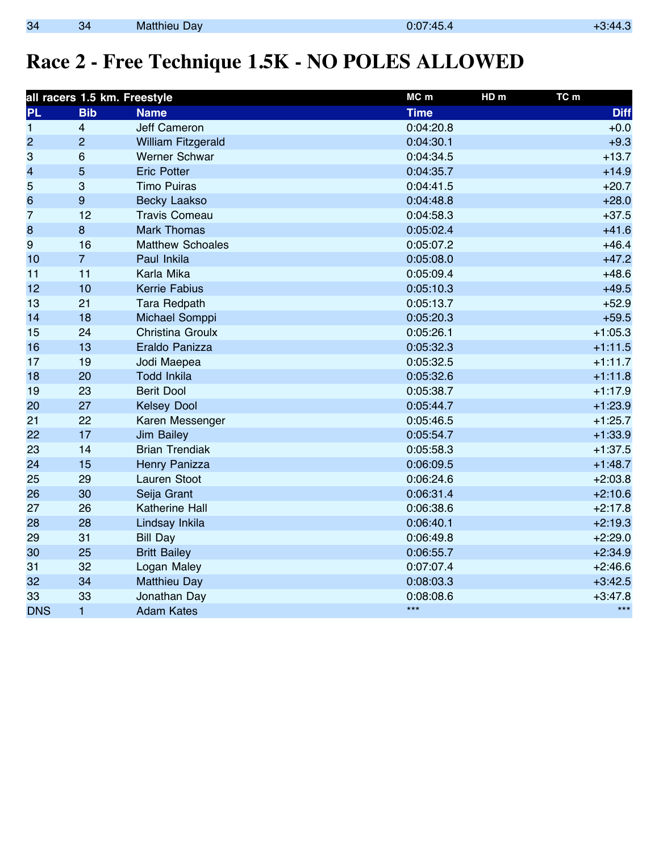## **Race 2 - Free Technique 1.5K - NO POLES ALLOWED**

|                | all racers 1.5 km. Freestyle |                           | $MC$ m<br>HD <sub>m</sub> | TC m        |
|----------------|------------------------------|---------------------------|---------------------------|-------------|
| <b>PL</b>      | <b>Bib</b>                   | <b>Name</b>               | <b>Time</b>               | <b>Diff</b> |
| 1              | $\overline{4}$               | <b>Jeff Cameron</b>       | 0:04:20.8                 | $+0.0$      |
| $\overline{c}$ | $\overline{2}$               | <b>William Fitzgerald</b> | 0:04:30.1                 | $+9.3$      |
| 3              | 6                            | <b>Werner Schwar</b>      | 0:04:34.5                 | $+13.7$     |
| 4              | 5                            | <b>Eric Potter</b>        | 0:04:35.7                 | $+14.9$     |
| 5              | $\mathbf{3}$                 | <b>Timo Puiras</b>        | 0:04:41.5                 | $+20.7$     |
| $6\phantom{a}$ | $\boldsymbol{9}$             | <b>Becky Laakso</b>       | 0:04:48.8                 | $+28.0$     |
| 7              | 12                           | <b>Travis Comeau</b>      | 0:04:58.3                 | $+37.5$     |
| 8              | $\bf 8$                      | <b>Mark Thomas</b>        | 0:05:02.4                 | $+41.6$     |
| 9              | 16                           | <b>Matthew Schoales</b>   | 0:05:07.2                 | $+46.4$     |
| 10             | $\overline{7}$               | Paul Inkila               | 0:05:08.0                 | $+47.2$     |
| 11             | 11                           | Karla Mika                | 0:05:09.4                 | $+48.6$     |
| 12             | 10                           | <b>Kerrie Fabius</b>      | 0:05:10.3                 | $+49.5$     |
| 13             | 21                           | <b>Tara Redpath</b>       | 0:05:13.7                 | $+52.9$     |
| 14             | 18                           | Michael Somppi            | 0:05:20.3                 | $+59.5$     |
| 15             | 24                           | Christina Groulx          | 0:05:26.1                 | $+1:05.3$   |
| 16             | 13                           | Eraldo Panizza            | 0:05:32.3                 | $+1:11.5$   |
| 17             | 19                           | Jodi Maepea               | 0:05:32.5                 | $+1:11.7$   |
| 18             | 20                           | <b>Todd Inkila</b>        | 0:05:32.6                 | $+1:11.8$   |
| 19             | 23                           | <b>Berit Dool</b>         | 0:05:38.7                 | $+1:17.9$   |
| 20             | 27                           | <b>Kelsey Dool</b>        | 0:05:44.7                 | $+1:23.9$   |
| 21             | 22                           | Karen Messenger           | 0:05:46.5                 | $+1:25.7$   |
| 22             | 17                           | <b>Jim Bailey</b>         | 0:05:54.7                 | $+1:33.9$   |
| 23             | 14                           | <b>Brian Trendiak</b>     | 0:05:58.3                 | $+1:37.5$   |
| 24             | 15                           | Henry Panizza             | 0:06:09.5                 | $+1:48.7$   |
| 25             | 29                           | Lauren Stoot              | 0:06:24.6                 | $+2:03.8$   |
| 26             | 30                           | Seija Grant               | 0:06:31.4                 | $+2:10.6$   |
| 27             | 26                           | <b>Katherine Hall</b>     | 0:06:38.6                 | $+2:17.8$   |
| 28             | 28                           | Lindsay Inkila            | 0:06:40.1                 | $+2:19.3$   |
| 29             | 31                           | <b>Bill Day</b>           | 0:06:49.8                 | $+2:29.0$   |
| 30             | 25                           | <b>Britt Bailey</b>       | 0:06:55.7                 | $+2:34.9$   |
| 31             | 32                           | Logan Maley               | 0:07:07.4                 | $+2:46.6$   |
| 32             | 34                           | <b>Matthieu Day</b>       | 0:08:03.3                 | $+3:42.5$   |
| 33             | 33                           | Jonathan Day              | 0:08:08.6                 | $+3:47.8$   |
| <b>DNS</b>     | $\mathbf{1}$                 | <b>Adam Kates</b>         | $***$                     | $***$       |